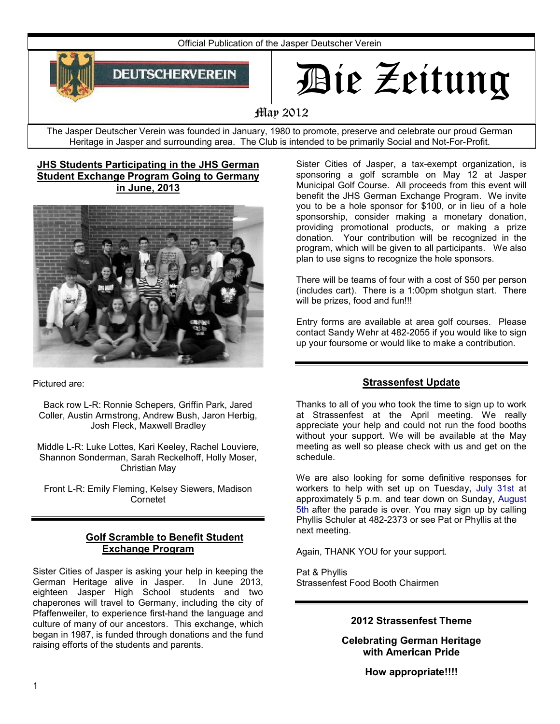Official Publication of the Jasper Deutscher Verein



# Die Zeitung

# May 2012

The Jasper Deutscher Verein was founded in January, 1980 to promote, preserve and celebrate our proud German Heritage in Jasper and surrounding area. The Club is intended to be primarily Social and Not-For-Profit.

### **JHS Students Participating in the JHS German Student Exchange Program Going to Germany in June, 2013**



Pictured are:

Back row L-R: Ronnie Schepers, Griffin Park, Jared Coller, Austin Armstrong, Andrew Bush, Jaron Herbig, Josh Fleck, Maxwell Bradley

Middle L-R: Luke Lottes, Kari Keeley, Rachel Louviere, Shannon Sonderman, Sarah Reckelhoff, Holly Moser, Christian May

Front L-R: Emily Fleming, Kelsey Siewers, Madison Cornetet

## **Golf Scramble to Benefit Student Exchange Program**

Sister Cities of Jasper is asking your help in keeping the German Heritage alive in Jasper. In June 2013, eighteen Jasper High School students and two chaperones will travel to Germany, including the city of Pfaffenweiler, to experience first-hand the language and culture of many of our ancestors. This exchange, which began in 1987, is funded through donations and the fund raising efforts of the students and parents.

Sister Cities of Jasper, a tax-exempt organization, is sponsoring a golf scramble on May 12 at Jasper Municipal Golf Course. All proceeds from this event will benefit the JHS German Exchange Program. We invite you to be a hole sponsor for \$100, or in lieu of a hole sponsorship, consider making a monetary donation, providing promotional products, or making a prize donation. Your contribution will be recognized in the program, which will be given to all participants. We also plan to use signs to recognize the hole sponsors.

There will be teams of four with a cost of \$50 per person (includes cart). There is a 1:00pm shotgun start. There will be prizes, food and fun!!!

Entry forms are available at area golf courses. Please contact Sandy Wehr at 482-2055 if you would like to sign up your foursome or would like to make a contribution.

## **Strassenfest Update**

Thanks to all of you who took the time to sign up to work at Strassenfest at the April meeting. We really appreciate your help and could not run the food booths without your support. We will be available at the May meeting as well so please check with us and get on the schedule.

We are also looking for some definitive responses for workers to help with set up on Tuesday, July 31st at approximately 5 p.m. and tear down on Sunday, August 5th after the parade is over. You may sign up by calling Phyllis Schuler at 482-2373 or see Pat or Phyllis at the next meeting.

Again, THANK YOU for your support.

Pat & Phyllis Strassenfest Food Booth Chairmen

## **2012 Strassenfest Theme**

**Celebrating German Heritage with American Pride**

**How appropriate!!!!**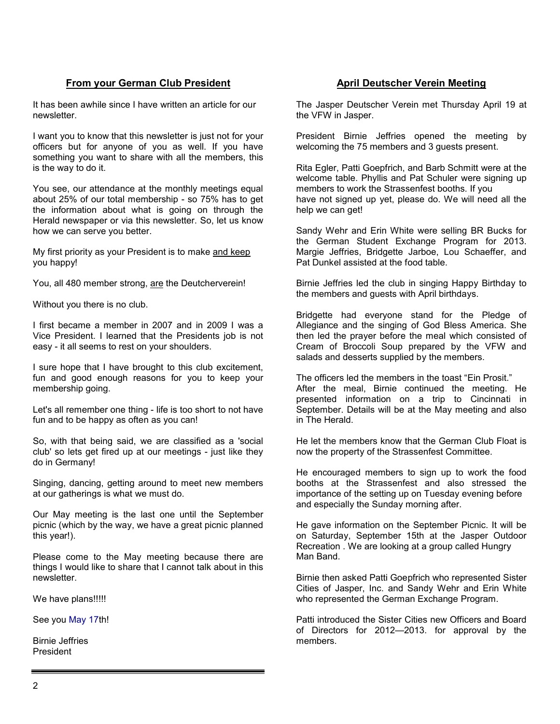## **From your German Club President**

It has been awhile since I have written an article for our newsletter.

I want you to know that this newsletter is just not for your officers but for anyone of you as well. If you have something you want to share with all the members, this is the way to do it.

You see, our attendance at the monthly meetings equal about 25% of our total membership - so 75% has to get the information about what is going on through the Herald newspaper or via this newsletter. So, let us know how we can serve you better.

My first priority as your President is to make and keep you happy!

You, all 480 member strong, are the Deutcherverein!

Without you there is no club.

I first became a member in 2007 and in 2009 I was a Vice President. I learned that the Presidents job is not easy - it all seems to rest on your shoulders.

I sure hope that I have brought to this club excitement, fun and good enough reasons for you to keep your membership going.

Let's all remember one thing - life is too short to not have fun and to be happy as often as you can!

So, with that being said, we are classified as a 'social club' so lets get fired up at our meetings - just like they do in Germany!

Singing, dancing, getting around to meet new members at our gatherings is what we must do.

Our May meeting is the last one until the September picnic (which by the way, we have a great picnic planned this year!).

Please come to the May meeting because there are things I would like to share that I cannot talk about in this newsletter.

We have plans!!!!!

See you May 17th!

Birnie Jeffries President

## **April Deutscher Verein Meeting**

The Jasper Deutscher Verein met Thursday April 19 at the VFW in Jasper.

President Birnie Jeffries opened the meeting by welcoming the 75 members and 3 guests present.

Rita Egler, Patti Goepfrich, and Barb Schmitt were at the welcome table. Phyllis and Pat Schuler were signing up members to work the Strassenfest booths. If you have not signed up yet, please do. We will need all the help we can get!

Sandy Wehr and Erin White were selling BR Bucks for the German Student Exchange Program for 2013. Margie Jeffries, Bridgette Jarboe, Lou Schaeffer, and Pat Dunkel assisted at the food table.

Birnie Jeffries led the club in singing Happy Birthday to the members and guests with April birthdays.

Bridgette had everyone stand for the Pledge of Allegiance and the singing of God Bless America. She then led the prayer before the meal which consisted of Cream of Broccoli Soup prepared by the VFW and salads and desserts supplied by the members.

The officers led the members in the toast "Ein Prosit." After the meal, Birnie continued the meeting. He presented information on a trip to Cincinnati in September. Details will be at the May meeting and also in The Herald.

He let the members know that the German Club Float is now the property of the Strassenfest Committee.

He encouraged members to sign up to work the food booths at the Strassenfest and also stressed the importance of the setting up on Tuesday evening before and especially the Sunday morning after.

He gave information on the September Picnic. It will be on Saturday, September 15th at the Jasper Outdoor Recreation . We are looking at a group called Hungry Man Band.

Birnie then asked Patti Goepfrich who represented Sister Cities of Jasper, Inc. and Sandy Wehr and Erin White who represented the German Exchange Program.

Patti introduced the Sister Cities new Officers and Board of Directors for 2012—2013. for approval by the members.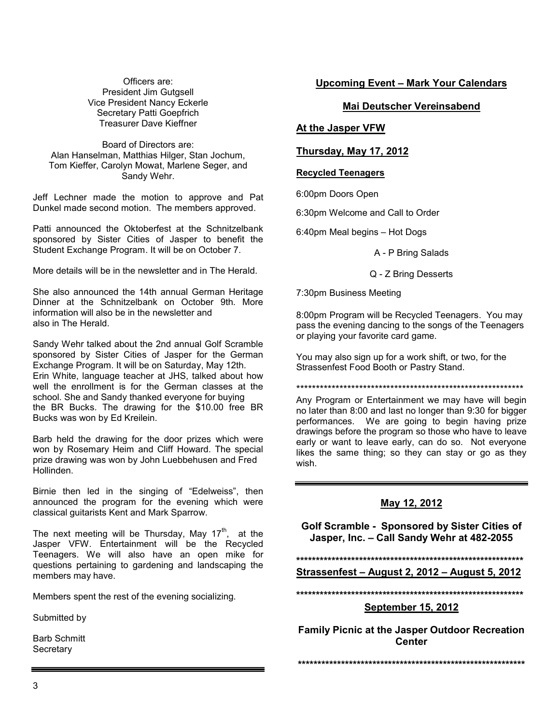Officers are: President Jim Gutgsell Vice President Nancy Eckerle Secretary Patti Goepfrich Treasurer Dave Kieffner

Board of Directors are: Alan Hanselman, Matthias Hilger, Stan Jochum, Tom Kieffer, Carolyn Mowat, Marlene Seger, and Sandy Wehr.

Jeff Lechner made the motion to approve and Pat Dunkel made second motion. The members approved.

Patti announced the Oktoberfest at the Schnitzelbank sponsored by Sister Cities of Jasper to benefit the Student Exchange Program. It will be on October 7.

More details will be in the newsletter and in The Herald.

She also announced the 14th annual German Heritage Dinner at the Schnitzelbank on October 9th. More information will also be in the newsletter and also in The Herald.

Sandy Wehr talked about the 2nd annual Golf Scramble sponsored by Sister Cities of Jasper for the German Exchange Program. It will be on Saturday, May 12th. Erin White, language teacher at JHS, talked about how well the enrollment is for the German classes at the school. She and Sandy thanked everyone for buying the BR Bucks. The drawing for the \$10.00 free BR Bucks was won by Ed Kreilein.

Barb held the drawing for the door prizes which were won by Rosemary Heim and Cliff Howard. The special prize drawing was won by John Luebbehusen and Fred Hollinden.

Birnie then led in the singing of "Edelweiss", then announced the program for the evening which were classical guitarists Kent and Mark Sparrow.

The next meeting will be Thursday, May  $17<sup>th</sup>$ , at the Jasper VFW. Entertainment will be the Recycled Teenagers. We will also have an open mike for questions pertaining to gardening and landscaping the members may have.

Members spent the rest of the evening socializing.

Submitted by

Barb Schmitt **Secretary** 

#### **Upcoming Event – Mark Your Calendars**

#### **Mai Deutscher Vereinsabend**

#### **At the Jasper VFW**

#### **Thursday, May 17, 2012**

#### **Recycled Teenagers**

6:00pm Doors Open

6:30pm Welcome and Call to Order

6:40pm Meal begins – Hot Dogs

A - P Bring Salads

#### Q - Z Bring Desserts

7:30pm Business Meeting

8:00pm Program will be Recycled Teenagers. You may pass the evening dancing to the songs of the Teenagers or playing your favorite card game.

You may also sign up for a work shift, or two, for the Strassenfest Food Booth or Pastry Stand.

\*\*\*\*\*\*\*\*\*\*\*\*\*\*\*\*\*\*\*\*\*\*\*\*\*\*\*\*\*\*\*\*\*\*\*\*\*\*\*\*\*\*\*\*\*\*\*\*\*\*\*\*\*\*\*\*\*\*

Any Program or Entertainment we may have will begin no later than 8:00 and last no longer than 9:30 for bigger performances. We are going to begin having prize drawings before the program so those who have to leave early or want to leave early, can do so. Not everyone likes the same thing; so they can stay or go as they wish.

#### **May 12, 2012**

**Golf Scramble - Sponsored by Sister Cities of Jasper, Inc. – Call Sandy Wehr at 482-2055**

#### **\*\*\*\*\*\*\*\*\*\*\*\*\*\*\*\*\*\*\*\*\*\*\*\*\*\*\*\*\*\*\*\*\*\*\*\*\*\*\*\*\*\*\*\*\*\*\*\*\*\*\*\*\*\*\*\*\*\***

#### **Strassenfest – August 2, 2012 – August 5, 2012**

**\*\*\*\*\*\*\*\*\*\*\*\*\*\*\*\*\*\*\*\*\*\*\*\*\*\*\*\*\*\*\*\*\*\*\*\*\*\*\*\*\*\*\*\*\*\*\*\*\*\*\*\*\*\*\*\*\*\***

#### **September 15, 2012**

**Family Picnic at the Jasper Outdoor Recreation Center**

**\*\*\*\*\*\*\*\*\*\*\*\*\*\*\*\*\*\*\*\*\*\*\*\*\*\*\*\*\*\*\*\*\*\*\*\*\*\*\*\*\*\*\*\*\*\*\*\*\*\*\*\*\*\*\*\*\*\***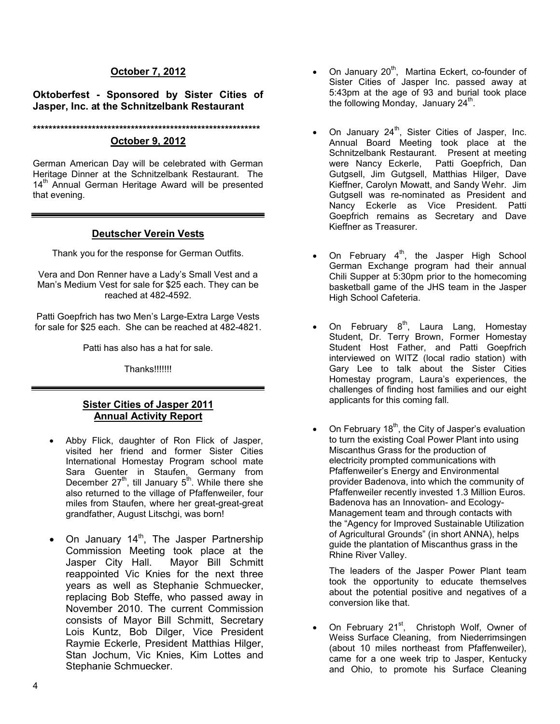## **October 7, 2012**

### **Oktoberfest - Sponsored by Sister Cities of Jasper, Inc. at the Schnitzelbank Restaurant**

#### **\*\*\*\*\*\*\*\*\*\*\*\*\*\*\*\*\*\*\*\*\*\*\*\*\*\*\*\*\*\*\*\*\*\*\*\*\*\*\*\*\*\*\*\*\*\*\*\*\*\*\*\*\*\*\*\*\*\***

## **October 9, 2012**

German American Day will be celebrated with German Heritage Dinner at the Schnitzelbank Restaurant. The 14<sup>th</sup> Annual German Heritage Award will be presented that evening.

## **Deutscher Verein Vests**

Thank you for the response for German Outfits.

Vera and Don Renner have a Lady's Small Vest and a Man's Medium Vest for sale for \$25 each. They can be reached at 482-4592.

Patti Goepfrich has two Men's Large-Extra Large Vests for sale for \$25 each. She can be reached at 482-4821.

Patti has also has a hat for sale.

Thanks!!!!!!!

#### **Sister Cities of Jasper 2011 Annual Activity Report**

- Abby Flick, daughter of Ron Flick of Jasper, visited her friend and former Sister Cities International Homestay Program school mate Sara Guenter in Staufen, Germany from December 27<sup>th</sup>, till January  $5<sup>th</sup>$ . While there she also returned to the village of Pfaffenweiler, four miles from Staufen, where her great-great-great grandfather, August Litschgi, was born!
- $\bullet$  On January 14<sup>th</sup>, The Jasper Partnership Commission Meeting took place at the Jasper City Hall. Mayor Bill Schmitt reappointed Vic Knies for the next three years as well as Stephanie Schmuecker, replacing Bob Steffe, who passed away in November 2010. The current Commission consists of Mayor Bill Schmitt, Secretary Lois Kuntz, Bob Dilger, Vice President Raymie Eckerle, President Matthias Hilger, Stan Jochum, Vic Knies, Kim Lottes and Stephanie Schmuecker.
- $\bullet$  On January 20<sup>th</sup>, Martina Eckert, co-founder of Sister Cities of Jasper Inc. passed away at 5:43pm at the age of 93 and burial took place the following Monday, January  $24<sup>th</sup>$ .
- On January 24<sup>th</sup>, Sister Cities of Jasper, Inc. Annual Board Meeting took place at the Schnitzelbank Restaurant. Present at meeting were Nancy Eckerle, Patti Goepfrich, Dan Gutgsell, Jim Gutgsell, Matthias Hilger, Dave Kieffner, Carolyn Mowatt, and Sandy Wehr. Jim Gutgsell was re-nominated as President and Nancy Eckerle as Vice President. Patti Goepfrich remains as Secretary and Dave Kieffner as Treasurer.
- On February  $4<sup>th</sup>$ , the Jasper High School German Exchange program had their annual Chili Supper at 5:30pm prior to the homecoming basketball game of the JHS team in the Jasper High School Cafeteria.
- On February  $8^{th}$ , Laura Lang, Homestay Student, Dr. Terry Brown, Former Homestay Student Host Father, and Patti Goepfrich interviewed on WITZ (local radio station) with Gary Lee to talk about the Sister Cities Homestay program, Laura's experiences, the challenges of finding host families and our eight applicants for this coming fall.
- On February  $18<sup>th</sup>$ , the City of Jasper's evaluation to turn the existing Coal Power Plant into using Miscanthus Grass for the production of electricity prompted communications with Pfaffenweiler's Energy and Environmental provider Badenova, into which the community of Pfaffenweiler recently invested 1.3 Million Euros. Badenova has an Innovation- and Ecology-Management team and through contacts with the "Agency for Improved Sustainable Utilization of Agricultural Grounds" (in short ANNA), helps guide the plantation of Miscanthus grass in the Rhine River Valley.

The leaders of the Jasper Power Plant team took the opportunity to educate themselves about the potential positive and negatives of a conversion like that.

On February 21<sup>st</sup>, Christoph Wolf, Owner of Weiss Surface Cleaning, from Niederrimsingen (about 10 miles northeast from Pfaffenweiler), came for a one week trip to Jasper, Kentucky and Ohio, to promote his Surface Cleaning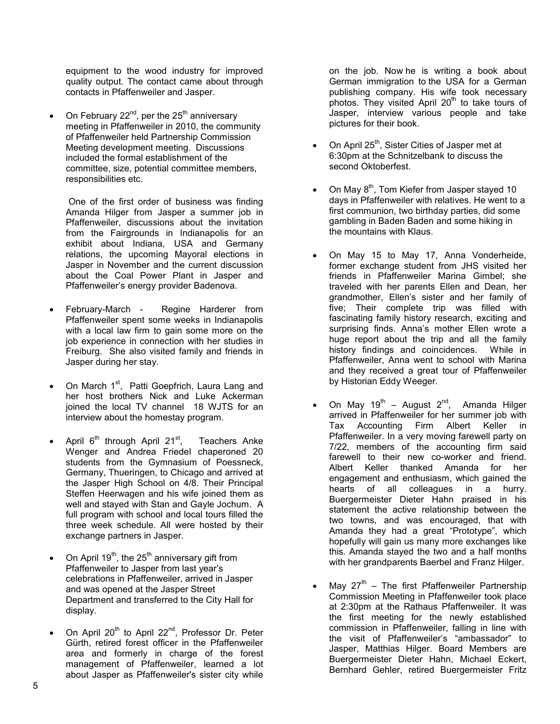equipment to the wood industry for improved quality output. The contact came about through contacts in Pfaffenweiler and Jasper.

On February  $22^{nd}$ , per the  $25^{th}$  anniversary meeting in Pfaffenweiler in 2010, the community of Pfaffenweiler held Partnership Commission Meeting development meeting. Discussions included the formal establishment of the committee, size, potential committee members, responsibilities etc.

One of the first order of business was finding Amanda Hilger from Jasper a summer job in Pfaffenweiler, discussions about the invitation from the Fairgrounds in Indianapolis for an exhibit about Indiana, USA and Germany relations, the upcoming Mayoral elections in Jasper in November and the current discussion about the Coal Power Plant in Jasper and Pfaffenweiler's energy provider Badenova.

- February-March Regine Harderer from Pfaffenweiler spent some weeks in Indianapolis with a local law firm to gain some more on the job experience in connection with her studies in Freiburg. She also visited family and friends in Jasper during her stay.
- On March 1<sup>st</sup>, Patti Goepfrich, Laura Lang and her host brothers Nick and Luke Ackerman joined the local TV channel 18 WJTS for an interview about the homestay program.
- April  $6<sup>th</sup>$  through April 21<sup>st</sup>, Teachers Anke Wenger and Andrea Friedel chaperoned 20 students from the Gymnasium of Poessneck, Germany, Thueringen, to Chicago and arrived at the Jasper High School on 4/8. Their Principal Steffen Heerwagen and his wife joined them as well and stayed with Stan and Gayle Jochum. A full program with school and local tours filled the three week schedule. All were hosted by their exchange partners in Jasper.
- On April 19<sup>th</sup>, the 25<sup>th</sup> anniversary gift from Pfaffenweiler to Jasper from last year's celebrations in Pfaffenweiler, arrived in Jasper and was opened at the Jasper Street Department and transferred to the City Hall for display.
- On April 20<sup>th</sup> to April 22<sup>nd</sup>, Professor Dr. Peter Gürth, retired forest officer in the Pfaffenweiler area and formerly in charge of the forest management of Pfaffenweiler, learned a lot about Jasper as Pfaffenweiler's sister city while

on the job. Now he is writing a book about German immigration to the USA for a German publishing company. His wife took necessary photos. They visited April  $20<sup>th</sup>$  to take tours of Jasper, interview various people and take pictures for their book.

- On April 25<sup>th</sup>, Sister Cities of Jasper met at 6:30pm at the Schnitzelbank to discuss the second Oktoberfest.
- On May  $8<sup>th</sup>$ , Tom Kiefer from Jasper stayed 10 days in Pfaffenweiler with relatives. He went to a first communion, two birthday parties, did some gambling in Baden Baden and some hiking in the mountains with Klaus.
- On May 15 to May 17, Anna Vonderheide, former exchange student from JHS visited her friends in Pfaffenweiler Marina Gimbel; she traveled with her parents Ellen and Dean, her grandmother, Ellen's sister and her family of five; Their complete trip was filled with fascinating family history research, exciting and surprising finds. Anna's mother Ellen wrote a huge report about the trip and all the family history findings and coincidences. While in Pfaffenweiler, Anna went to school with Marina and they received a great tour of Pfaffenweiler by Historian Eddy Weeger.
- On May 19<sup>th</sup> August  $2^{nd}$ , Amanda Hilger arrived in Pfaffenweiler for her summer job with Tax Accounting Firm Albert Keller in Pfaffenweiler. In a very moving farewell party on 7/22, members of the accounting firm said farewell to their new co-worker and friend. Albert Keller thanked Amanda for her engagement and enthusiasm, which gained the hearts of all colleagues in a hurry. Buergermeister Dieter Hahn praised in his statement the active relationship between the two towns, and was encouraged, that with Amanda they had a great "Prototype", which hopefully will gain us many more exchanges like this. Amanda stayed the two and a half months with her grandparents Baerbel and Franz Hilger.
- May  $27<sup>th</sup>$  The first Pfaffenweiler Partnership Commission Meeting in Pfaffenweiler took place at 2:30pm at the Rathaus Pfaffenweiler. It was the first meeting for the newly established commission in Pfaffenweiler, falling in line with the visit of Pfaffenweiler's "ambassador" to Jasper, Matthias Hilger. Board Members are Buergermeister Dieter Hahn, Michael Eckert, Bernhard Gehler, retired Buergermeister Fritz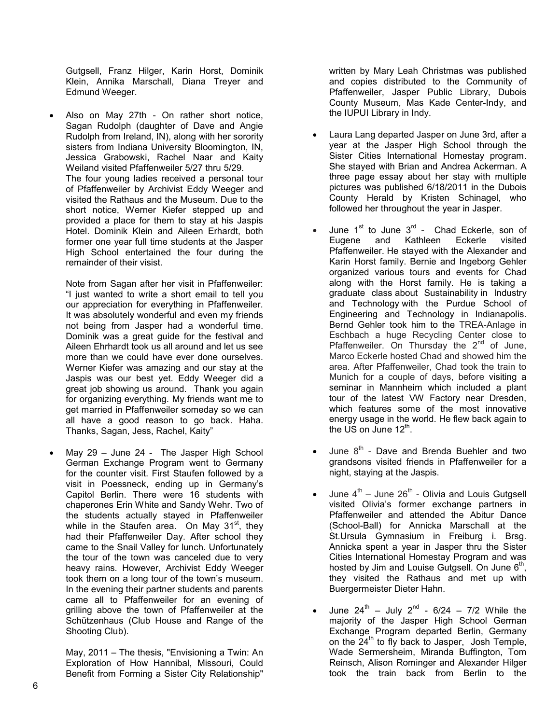Gutgsell, Franz Hilger, Karin Horst, Dominik Klein, Annika Marschall, Diana Treyer and Edmund Weeger.

 Also on May 27th - On rather short notice, Sagan Rudolph (daughter of Dave and Angie Rudolph from Ireland, IN), along with her sorority sisters from Indiana University Bloomington, IN, Jessica Grabowski, Rachel Naar and Kaity Weiland visited Pfaffenweiler 5/27 thru 5/29. The four young ladies received a personal tour of Pfaffenweiler by Archivist Eddy Weeger and visited the Rathaus and the Museum. Due to the short notice, Werner Kiefer stepped up and provided a place for them to stay at his Jaspis Hotel. Dominik Klein and Aileen Erhardt, both former one year full time students at the Jasper High School entertained the four during the remainder of their visist.

Note from Sagan after her visit in Pfaffenweiler: "I just wanted to write a short email to tell you our appreciation for everything in Pfaffenweiler. It was absolutely wonderful and even my friends not being from Jasper had a wonderful time. Dominik was a great guide for the festival and Aileen Ehrhardt took us all around and let us see more than we could have ever done ourselves. Werner Kiefer was amazing and our stay at the Jaspis was our best yet. Eddy Weeger did a great job showing us around. Thank you again for organizing everything. My friends want me to get married in Pfaffenweiler someday so we can all have a good reason to go back. Haha. Thanks, Sagan, Jess, Rachel, Kaity"

 May 29 – June 24 - The Jasper High School German Exchange Program went to Germany for the counter visit. First Staufen followed by a visit in Poessneck, ending up in Germany's Capitol Berlin. There were 16 students with chaperones Erin White and Sandy Wehr. Two of the students actually stayed in Pfaffenweiler while in the Staufen area. On May 31<sup>st</sup>, they had their Pfaffenweiler Day. After school they came to the Snail Valley for lunch. Unfortunately the tour of the town was canceled due to very heavy rains. However, Archivist Eddy Weeger took them on a long tour of the town's museum. In the evening their partner students and parents came all to Pfaffenweiler for an evening of grilling above the town of Pfaffenweiler at the Schützenhaus (Club House and Range of the Shooting Club).

May, 2011 – The thesis, "Envisioning a Twin: An Exploration of How Hannibal, Missouri, Could Benefit from Forming a Sister City Relationship"

written by Mary Leah Christmas was published and copies distributed to the Community of Pfaffenweiler, Jasper Public Library, Dubois County Museum, Mas Kade Center-Indy, and the IUPUI Library in Indy.

- Laura Lang departed Jasper on June 3rd, after a year at the Jasper High School through the Sister Cities International Homestay program. She stayed with Brian and Andrea Ackerman. A three page essay about her stay with multiple pictures was published 6/18/2011 in the Dubois County Herald by Kristen Schinagel, who followed her throughout the year in Jasper.
- June  $1<sup>st</sup>$  to June  $3<sup>rd</sup>$  Chad Eckerle, son of Eugene and Kathleen Eckerle visited Pfaffenweiler. He stayed with the Alexander and Karin Horst family. Bernie and Ingeborg Gehler organized various tours and events for Chad along with the Horst family. He is taking a graduate class about Sustainability in Industry and Technology with the Purdue School of Engineering and Technology in Indianapolis. Bernd Gehler took him to the TREA-Anlage in Eschbach a huge Recycling Center close to Pfaffenweiler. On Thursday the  $2^{nd}$  of June, Marco Eckerle hosted Chad and showed him the area. After Pfaffenweiler, Chad took the train to Munich for a couple of days, before visiting a seminar in Mannheim which included a plant tour of the latest VW Factory near Dresden, which features some of the most innovative energy usage in the world. He flew back again to the US on June  $12^{th}$ .
- June  $8<sup>th</sup>$  Dave and Brenda Buehler and two grandsons visited friends in Pfaffenweiler for a night, staying at the Jaspis.
- June  $4<sup>th</sup>$  June  $26<sup>th</sup>$  Olivia and Louis Gutgsell visited Olivia's former exchange partners in Pfaffenweiler and attended the Abitur Dance (School-Ball) for Annicka Marschall at the St.Ursula Gymnasium in Freiburg i. Brsg. Annicka spent a year in Jasper thru the Sister Cities International Homestay Program and was hosted by Jim and Louise Gutgsell. On June  $6<sup>th</sup>$ , they visited the Rathaus and met up with Buergermeister Dieter Hahn.
- June  $24^{th}$  July  $2^{nd}$  6/24 7/2 While the majority of the Jasper High School German Exchange Program departed Berlin, Germany on the  $24<sup>th</sup>$  to fly back to Jasper, Josh Temple, Wade Sermersheim, Miranda Buffington, Tom Reinsch, Alison Rominger and Alexander Hilger took the train back from Berlin to the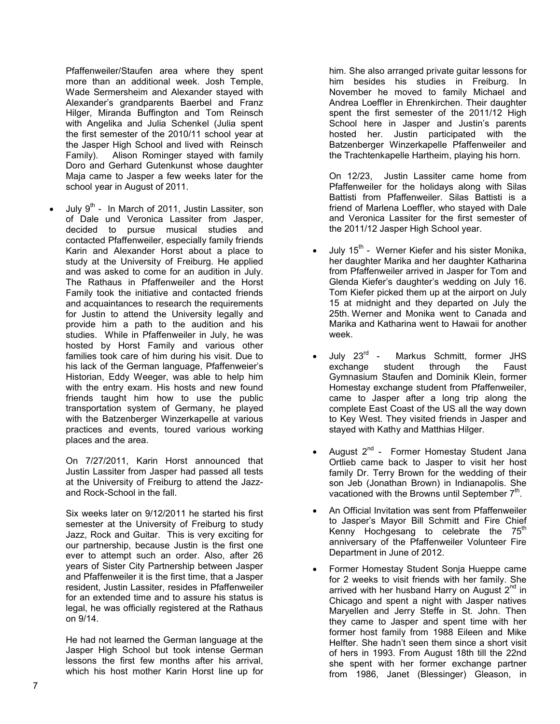Pfaffenweiler/Staufen area where they spent more than an additional week. Josh Temple, Wade Sermersheim and Alexander stayed with Alexander's grandparents Baerbel and Franz Hilger, Miranda Buffington and Tom Reinsch with Angelika and Julia Schenkel (Julia spent the first semester of the 2010/11 school year at the Jasper High School and lived with Reinsch Family). Alison Rominger stayed with family Doro and Gerhard Gutenkunst whose daughter Maja came to Jasper a few weeks later for the school year in August of 2011.

July  $9^{th}$  - In March of 2011, Justin Lassiter, son of Dale und Veronica Lassiter from Jasper, decided to pursue musical studies and contacted Pfaffenweiler, especially family friends Karin and Alexander Horst about a place to study at the University of Freiburg. He applied and was asked to come for an audition in July. The Rathaus in Pfaffenweiler and the Horst Family took the initiative and contacted friends and acquaintances to research the requirements for Justin to attend the University legally and provide him a path to the audition and his studies. While in Pfaffenweiler in July, he was hosted by Horst Family and various other families took care of him during his visit. Due to his lack of the German language, Pfaffenweier's Historian, Eddy Weeger, was able to help him with the entry exam. His hosts and new found friends taught him how to use the public transportation system of Germany, he played with the Batzenberger Winzerkapelle at various practices and events, toured various working places and the area.

On 7/27/2011, Karin Horst announced that Justin Lassiter from Jasper had passed all tests at the University of Freiburg to attend the Jazzand Rock-School in the fall.

Six weeks later on 9/12/2011 he started his first semester at the University of Freiburg to study Jazz, Rock and Guitar. This is very exciting for our partnership, because Justin is the first one ever to attempt such an order. Also, after 26 years of Sister City Partnership between Jasper and Pfaffenweiler it is the first time, that a Jasper resident, Justin Lassiter, resides in Pfaffenweiler for an extended time and to assure his status is legal, he was officially registered at the Rathaus on 9/14.

He had not learned the German language at the Jasper High School but took intense German lessons the first few months after his arrival, which his host mother Karin Horst line up for

him. She also arranged private guitar lessons for him besides his studies in Freiburg. In November he moved to family Michael and Andrea Loeffler in Ehrenkirchen. Their daughter spent the first semester of the 2011/12 High School here in Jasper and Justin's parents hosted her. Justin participated with the Batzenberger Winzerkapelle Pfaffenweiler and the Trachtenkapelle Hartheim, playing his horn.

On 12/23, Justin Lassiter came home from Pfaffenweiler for the holidays along with Silas Battisti from Pfaffenweiler. Silas Battisti is a friend of Marlena Loeffler, who stayed with Dale and Veronica Lassiter for the first semester of the 2011/12 Jasper High School year.

- July 15<sup>th</sup> Werner Kiefer and his sister Monika, her daughter Marika and her daughter Katharina from Pfaffenweiler arrived in Jasper for Tom and Glenda Kiefer's daughter's wedding on July 16. Tom Kiefer picked them up at the airport on July 15 at midnight and they departed on July the 25th. Werner and Monika went to Canada and Marika and Katharina went to Hawaii for another week.
- July 23<sup>rd</sup> Markus Schmitt, former JHS exchange student through the Faust Gymnasium Staufen and Dominik Klein, former Homestay exchange student from Pfaffenweiler, came to Jasper after a long trip along the complete East Coast of the US all the way down to Key West. They visited friends in Jasper and stayed with Kathy and Matthias Hilger.
- August 2<sup>nd</sup> Former Homestay Student Jana Ortlieb came back to Jasper to visit her host family Dr. Terry Brown for the wedding of their son Jeb (Jonathan Brown) in Indianapolis. She vacationed with the Browns until September  $7<sup>th</sup>$ .
- An Official Invitation was sent from Pfaffenweiler to Jasper's Mayor Bill Schmitt and Fire Chief Kenny Hochgesang to celebrate the  $75<sup>th</sup>$ anniversary of the Pfaffenweiler Volunteer Fire Department in June of 2012.
- Former Homestay Student Sonja Hueppe came for 2 weeks to visit friends with her family. She arrived with her husband Harry on August  $2<sup>nd</sup>$  in Chicago and spent a night with Jasper natives Maryellen and Jerry Steffe in St. John. Then they came to Jasper and spent time with her former host family from 1988 Eileen and Mike Helfter. She hadn't seen them since a short visit of hers in 1993. From August 18th till the 22nd she spent with her former exchange partner from 1986, Janet (Blessinger) Gleason, in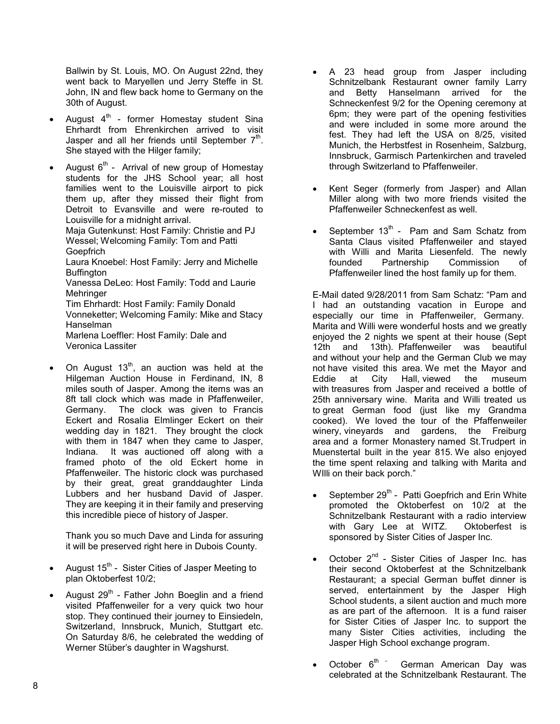Ballwin by St. Louis, MO. On August 22nd, they went back to Maryellen und Jerry Steffe in St. John, IN and flew back home to Germany on the 30th of August.

- August  $4<sup>th</sup>$  former Homestay student Sina Ehrhardt from Ehrenkirchen arrived to visit Jasper and all her friends until September  $7<sup>th</sup>$ . She stayed with the Hilger family;
- August  $6<sup>th</sup>$  Arrival of new group of Homestay students for the JHS School year; all host families went to the Louisville airport to pick them up, after they missed their flight from Detroit to Evansville and were re-routed to Louisville for a midnight arrival.

Maja Gutenkunst: Host Family: Christie and PJ Wessel; Welcoming Family: Tom and Patti **Goepfrich** 

Laura Knoebel: Host Family: Jerry and Michelle Buffington

Vanessa DeLeo: Host Family: Todd and Laurie Mehringer

Tim Ehrhardt: Host Family: Family Donald Vonneketter; Welcoming Family: Mike and Stacy Hanselman

Marlena Loeffler: Host Family: Dale and Veronica Lassiter

On August  $13<sup>th</sup>$ , an auction was held at the Hilgeman Auction House in Ferdinand, IN, 8 miles south of Jasper. Among the items was an 8ft tall clock which was made in Pfaffenweiler, Germany. The clock was given to Francis Eckert and Rosalia Elmlinger Eckert on their wedding day in 1821. They brought the clock with them in 1847 when they came to Jasper, Indiana. It was auctioned off along with a framed photo of the old Eckert home in Pfaffenweiler. The historic clock was purchased by their great, great granddaughter Linda Lubbers and her husband David of Jasper. They are keeping it in their family and preserving this incredible piece of history of Jasper.

Thank you so much Dave and Linda for assuring it will be preserved right here in Dubois County.

- August  $15<sup>th</sup>$  Sister Cities of Jasper Meeting to plan Oktoberfest 10/2;
- August  $29<sup>th</sup>$  Father John Boeglin and a friend visited Pfaffenweiler for a very quick two hour stop. They continued their journey to Einsiedeln, Switzerland, Innsbruck, Munich, Stuttgart etc. On Saturday 8/6, he celebrated the wedding of Werner Stüber's daughter in Wagshurst.
- A 23 head group from Jasper including Schnitzelbank Restaurant owner family Larry and Betty Hanselmann arrived for the Schneckenfest 9/2 for the Opening ceremony at 6pm; they were part of the opening festivities and were included in some more around the fest. They had left the USA on 8/25, visited Munich, the Herbstfest in Rosenheim, Salzburg, Innsbruck, Garmisch Partenkirchen and traveled through Switzerland to Pfaffenweiler.
- Kent Seger (formerly from Jasper) and Allan Miller along with two more friends visited the Pfaffenweiler Schneckenfest as well.
- September  $13<sup>th</sup>$  Pam and Sam Schatz from Santa Claus visited Pfaffenweiler and stayed with Willi and Marita Liesenfeld. The newly founded Partnership Commission of Pfaffenweiler lined the host family up for them.

E-Mail dated 9/28/2011 from Sam Schatz: "Pam and I had an outstanding vacation in Europe and especially our time in Pfaffenweiler, Germany. Marita and Willi were wonderful hosts and we greatly enjoyed the 2 nights we spent at their house (Sept 12th and 13th). Pfaffenweiler was beautiful and without your help and the German Club we may not have visited this area. We met the Mayor and Eddie at City Hall, viewed the museum with treasures from Jasper and received a bottle of 25th anniversary wine. Marita and Willi treated us to great German food (just like my Grandma cooked). We loved the tour of the Pfaffenweiler winery, vineyards and gardens, the Freiburg area and a former Monastery named St.Trudpert in Muenstertal built in the year 815. We also enjoyed the time spent relaxing and talking with Marita and WIlli on their back porch."

- September 29<sup>th</sup> Patti Goepfrich and Erin White promoted the Oktoberfest on 10/2 at the Schnitzelbank Restaurant with a radio interview with Gary Lee at WITZ. Oktoberfest is sponsored by Sister Cities of Jasper Inc.
- October 2<sup>nd</sup> Sister Cities of Jasper Inc. has their second Oktoberfest at the Schnitzelbank Restaurant; a special German buffet dinner is served, entertainment by the Jasper High School students, a silent auction and much more as are part of the afternoon. It is a fund raiser for Sister Cities of Jasper Inc. to support the many Sister Cities activities, including the Jasper High School exchange program.
- October  $6<sup>th</sup>$  German American Day was celebrated at the Schnitzelbank Restaurant. The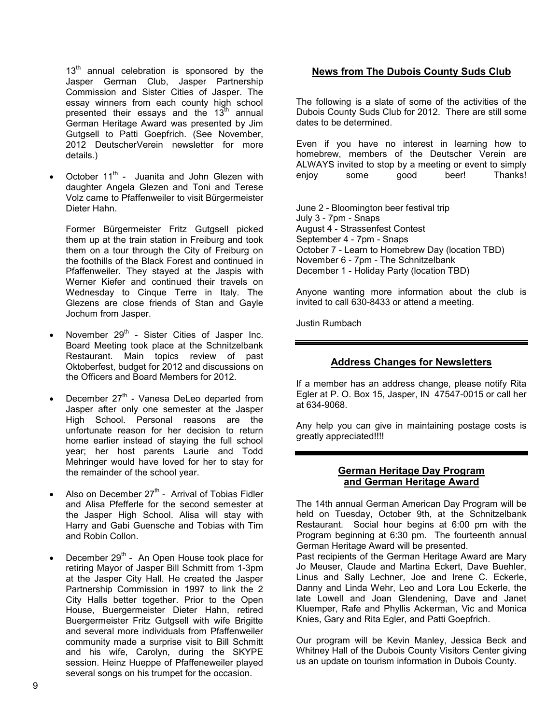$13<sup>th</sup>$  annual celebration is sponsored by the Jasper German Club, Jasper Partnership Commission and Sister Cities of Jasper. The essay winners from each county high school presented their essays and the  $13^{\text{th}}$  annual German Heritage Award was presented by Jim Gutgsell to Patti Goepfrich. (See November, 2012 DeutscherVerein newsletter for more details.)

October 11<sup>th</sup> - Juanita and John Glezen with daughter Angela Glezen and Toni and Terese Volz came to Pfaffenweiler to visit Bürgermeister Dieter Hahn.

Former Bürgermeister Fritz Gutgsell picked them up at the train station in Freiburg and took them on a tour through the City of Freiburg on the foothills of the Black Forest and continued in Pfaffenweiler. They stayed at the Jaspis with Werner Kiefer and continued their travels on Wednesday to Cinque Terre in Italy. The Glezens are close friends of Stan and Gayle Jochum from Jasper.

- November  $29<sup>th</sup>$  Sister Cities of Jasper Inc. Board Meeting took place at the Schnitzelbank Restaurant. Main topics review of past Oktoberfest, budget for 2012 and discussions on the Officers and Board Members for 2012.
- December  $27<sup>th</sup>$  Vanesa DeLeo departed from Jasper after only one semester at the Jasper High School. Personal reasons are the unfortunate reason for her decision to return home earlier instead of staying the full school year; her host parents Laurie and Todd Mehringer would have loved for her to stay for the remainder of the school year.
- Also on December  $27<sup>th</sup>$  Arrival of Tobias Fidler and Alisa Pfefferle for the second semester at the Jasper High School. Alisa will stay with Harry and Gabi Guensche and Tobias with Tim and Robin Collon.
- December  $29<sup>th</sup>$  An Open House took place for retiring Mayor of Jasper Bill Schmitt from 1-3pm at the Jasper City Hall. He created the Jasper Partnership Commission in 1997 to link the 2 City Halls better together. Prior to the Open House, Buergermeister Dieter Hahn, retired Buergermeister Fritz Gutgsell with wife Brigitte and several more individuals from Pfaffenweiler community made a surprise visit to Bill Schmitt and his wife, Carolyn, during the SKYPE session. Heinz Hueppe of Pfaffeneweiler played several songs on his trumpet for the occasion.

## **News from The Dubois County Suds Club**

The following is a slate of some of the activities of the Dubois County Suds Club for 2012. There are still some dates to be determined.

Even if you have no interest in learning how to homebrew, members of the Deutscher Verein are ALWAYS invited to stop by a meeting or event to simply enjoy some good beer! Thanks!

June 2 - Bloomington beer festival trip July 3 - 7pm - Snaps August 4 - Strassenfest Contest September 4 - 7pm - Snaps October 7 - Learn to Homebrew Day (location TBD) November 6 - 7pm - The Schnitzelbank December 1 - Holiday Party (location TBD)

Anyone wanting more information about the club is invited to call 630-8433 or attend a meeting.

Justin Rumbach

#### **Address Changes for Newsletters**

If a member has an address change, please notify Rita Egler at P. O. Box 15, Jasper, IN 47547-0015 or call her at 634-9068.

Any help you can give in maintaining postage costs is greatly appreciated!!!!

#### **German Heritage Day Program and German Heritage Award**

The 14th annual German American Day Program will be held on Tuesday, October 9th, at the Schnitzelbank Restaurant. Social hour begins at 6:00 pm with the Program beginning at 6:30 pm. The fourteenth annual German Heritage Award will be presented.

Past recipients of the German Heritage Award are Mary Jo Meuser, Claude and Martina Eckert, Dave Buehler, Linus and Sally Lechner, Joe and Irene C. Eckerle, Danny and Linda Wehr, Leo and Lora Lou Eckerle, the late Lowell and Joan Glendening, Dave and Janet Kluemper, Rafe and Phyllis Ackerman, Vic and Monica Knies, Gary and Rita Egler, and Patti Goepfrich.

Our program will be Kevin Manley, Jessica Beck and Whitney Hall of the Dubois County Visitors Center giving us an update on tourism information in Dubois County.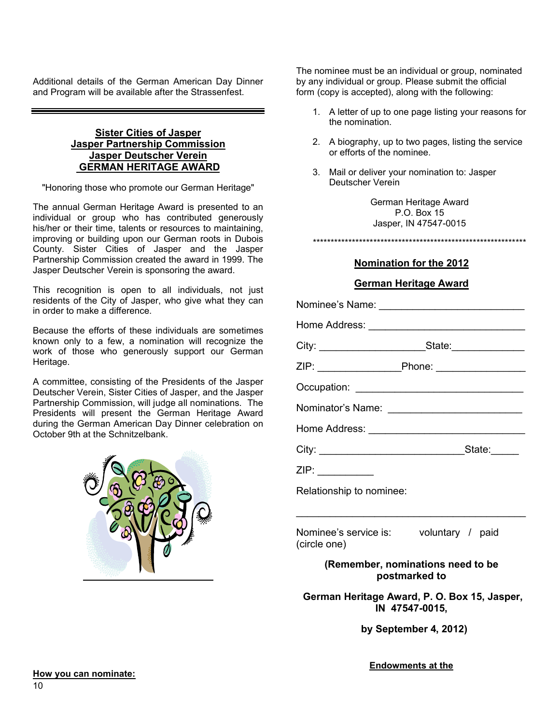Additional details of the German American Day Dinner and Program will be available after the Strassenfest.

#### **Sister Cities of Jasper Jasper Partnership Commission Jasper Deutscher Verein GERMAN HERITAGE AWARD**

"Honoring those who promote our German Heritage"

The annual German Heritage Award is presented to an individual or group who has contributed generously his/her or their time, talents or resources to maintaining, improving or building upon our German roots in Dubois County. Sister Cities of Jasper and the Jasper Partnership Commission created the award in 1999. The Jasper Deutscher Verein is sponsoring the award.

This recognition is open to all individuals, not just residents of the City of Jasper, who give what they can in order to make a difference.

Because the efforts of these individuals are sometimes known only to a few, a nomination will recognize the work of those who generously support our German Heritage.

A committee, consisting of the Presidents of the Jasper Deutscher Verein, Sister Cities of Jasper, and the Jasper Partnership Commission, will judge all nominations. The Presidents will present the German Heritage Award during the German American Day Dinner celebration on October 9th at the Schnitzelbank.



The nominee must be an individual or group, nominated by any individual or group. Please submit the official form (copy is accepted), along with the following:

- 1. A letter of up to one page listing your reasons for the nomination.
- 2. A biography, up to two pages, listing the service or efforts of the nominee.
- 3. Mail or deliver your nomination to: Jasper Deutscher Verein

German Heritage Award P.O. Box 15 Jasper, IN 47547-0015

\*\*\*\*\*\*\*\*\*\*\*\*\*\*\*\*\*\*\*\*\*\*\*\*\*\*\*\*\*\*\*\*\*\*\*\*\*\*\*\*\*\*\*\*\*\*\*\*\*\*\*\*\*\*\*\*\*\*\*\*

## **Nomination for the 2012**

## **German Heritage Award**

| Relationship to nominee: |  |
|--------------------------|--|

Nominee's service is: voluntary / paid (circle one)

> **(Remember, nominations need to be postmarked to**

\_\_\_\_\_\_\_\_\_\_\_\_\_\_\_\_\_\_\_\_\_\_\_\_\_\_\_\_\_\_\_\_\_\_\_\_\_\_\_\_\_

**German Heritage Award, P. O. Box 15, Jasper, IN 47547-0015,**

**by September 4, 2012)**

**Endowments at the**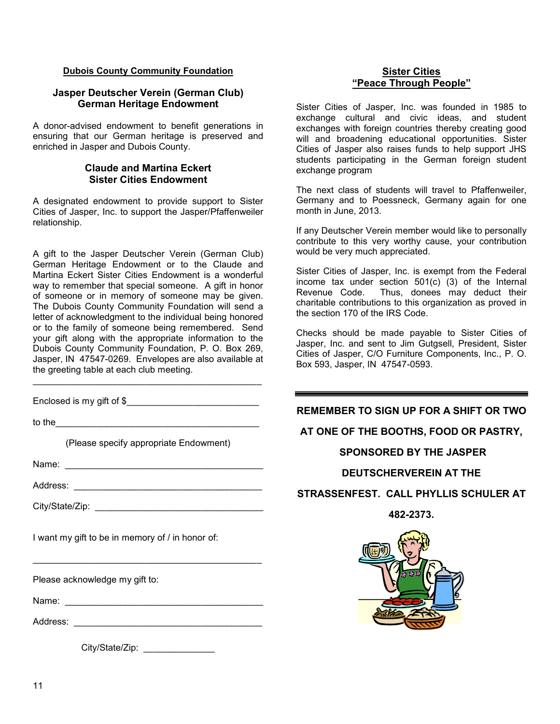#### **Dubois County Community Foundation**

#### **Jasper Deutscher Verein (German Club) German Heritage Endowment**

A donor-advised endowment to benefit generations in ensuring that our German heritage is preserved and enriched in Jasper and Dubois County.

#### **Claude and Martina Eckert Sister Cities Endowment**

A designated endowment to provide support to Sister Cities of Jasper, Inc. to support the Jasper/Pfaffenweiler relationship.

A gift to the Jasper Deutscher Verein (German Club) German Heritage Endowment or to the Claude and Martina Eckert Sister Cities Endowment is a wonderful way to remember that special someone. A gift in honor of someone or in memory of someone may be given. The Dubois County Community Foundation will send a letter of acknowledgment to the individual being honored or to the family of someone being remembered. Send your gift along with the appropriate information to the Dubois County Community Foundation, P. O. Box 269, Jasper, IN 47547-0269. Envelopes are also available at the greeting table at each club meeting.

Enclosed is my gift of \$

to the  $\blacksquare$ 

(Please specify appropriate Endowment)

\_\_\_\_\_\_\_\_\_\_\_\_\_\_\_\_\_\_\_\_\_\_\_\_\_\_\_\_\_\_\_\_\_\_\_\_\_\_\_\_\_\_\_\_\_

\_\_\_\_\_\_\_\_\_\_\_\_\_\_\_\_\_\_\_\_\_\_\_\_\_\_\_\_\_\_\_\_\_\_\_\_\_\_\_\_\_\_\_\_\_

Name: \_\_\_\_\_\_\_\_\_\_\_\_\_\_\_\_\_\_\_\_\_\_\_\_\_\_\_\_\_\_\_\_\_\_\_\_\_\_\_

Address: \_\_\_\_\_\_\_\_\_\_\_\_\_\_\_\_\_\_\_\_\_\_\_\_\_\_\_\_\_\_\_\_\_\_\_\_\_

City/State/Zip: \_\_\_\_\_\_\_\_\_\_\_\_\_\_\_\_\_\_\_\_\_\_\_\_\_\_\_\_\_\_\_\_\_

I want my gift to be in memory of / in honor of:

Please acknowledge my gift to:

Name: \_\_\_\_\_\_\_\_\_\_\_\_\_\_\_\_\_\_\_\_\_\_\_\_\_\_\_\_\_\_\_\_\_\_\_\_\_\_\_

Address: \_\_\_\_\_\_\_\_\_\_\_\_\_\_\_\_\_\_\_\_\_\_\_\_\_\_\_\_\_\_\_\_\_\_\_\_\_

City/State/Zip: \_\_\_\_\_\_\_\_\_\_\_\_\_\_\_\_

#### **Sister Cities "Peace Through People"**

Sister Cities of Jasper, Inc. was founded in 1985 to exchange cultural and civic ideas, and student exchanges with foreign countries thereby creating good will and broadening educational opportunities. Sister Cities of Jasper also raises funds to help support JHS students participating in the German foreign student exchange program

The next class of students will travel to Pfaffenweiler, Germany and to Poessneck, Germany again for one month in June, 2013.

If any Deutscher Verein member would like to personally contribute to this very worthy cause, your contribution would be very much appreciated.

Sister Cities of Jasper, Inc. is exempt from the Federal income tax under section 501(c) (3) of the Internal Revenue Code. Thus, donees may deduct their charitable contributions to this organization as proved in the section 170 of the IRS Code.

Checks should be made payable to Sister Cities of Jasper, Inc. and sent to Jim Gutgsell, President, Sister Cities of Jasper, C/O Furniture Components, Inc., P. O. Box 593, Jasper, IN 47547-0593.

**REMEMBER TO SIGN UP FOR A SHIFT OR TWO** 

## **AT ONE OF THE BOOTHS, FOOD OR PASTRY,**

### **SPONSORED BY THE JASPER**

#### **DEUTSCHERVEREIN AT THE**

## **STRASSENFEST. CALL PHYLLIS SCHULER AT**

**482-2373.**